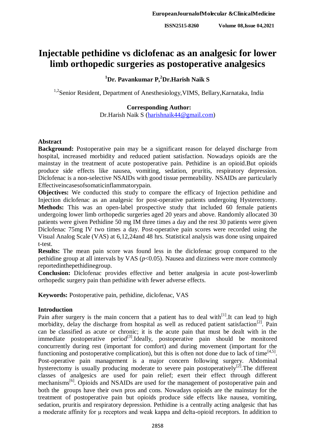# **Injectable pethidine vs diclofenac as an analgesic for lower limb orthopedic surgeries as postoperative analgesics**

# **<sup>1</sup>Dr. Pavankumar P,<sup>2</sup>Dr.Harish Naik S**

<sup>1,2</sup>Senior Resident, Department of Anesthesiology, VIMS, Bellary, Karnataka, India

# **Corresponding Author:**

Dr.Harish Naik S [\(harishnaik44@gmail.com\)](mailto:harishnaik44@gmail.com)

### **Abstract**

**Background:** Postoperative pain may be a significant reason for delayed discharge from hospital, increased morbidity and reduced patient satisfaction. Nowadays opioids are the mainstay in the treatment of acute postoperative pain. Pethidine is an opioid.But opioids produce side effects like nausea, vomiting, sedation, pruritis, respiratory depression. Diclofenac is a non-selective NSAIDs with good tissue permeability. NSAIDs are particularly Effectiveincasesofsomaticinflammatorypain.

**Objectives:** We conducted this study to compare the efficacy of Injection pethidine and Injection diclofenac as an analgesic for post-operative patients undergoing Hysterectomy. **Methods:** This was an open-label prospective study that included 60 female patients undergoing lower limb orthopedic surgeries aged 20 years and above. Randomly allocated 30 patients were given Pethidine 50 mg IM three times a day and the rest 30 patients were given Diclofenac 75mg IV two times a day. Post-operative pain scores were recorded using the Visual Analog Scale (VAS) at 6,12,24and 48 hrs. Statistical analysis was done using unpaired t-test.

**Results:** The mean pain score was found less in the diclofenac group compared to the pethidine group at all intervals by VAS (*p*<0.05). Nausea and dizziness were more commonly reportedinthepethidinegroup.

**Conclusion:** Diclofenac provides effective and better analgesia in acute post-lowerlimb orthopedic surgery pain than pethidine with fewer adverse effects.

**Keywords:** Postoperative pain, pethidine, diclofenac, VAS

# **Introduction**

Pain after surgery is the main concern that a patient has to deal with<sup>[1]</sup>. It can lead to high morbidity, delay the discharge from hospital as well as reduced patient satisfaction<sup>[2]</sup>. Pain can be classified as acute or chronic; it is the acute pain that must be dealt with in the immediate postoperative period $^{[3]}$ .Ideally, postoperative pain should be monitored concurrently during rest (important for comfort) and during movement (important for the functioning and postoperative complication), but this is often not done due to lack of time<sup>[4,5]</sup>. Post-operative pain management is a major concern following surgery. Abdominal hysterectomy is usually producing moderate to severe pain postoperatively<sup>[2]</sup>. The different classes of analgesics are used for pain relief; exert their effect through different mechanisms<sup>[6]</sup>. Opioids and NSAIDs are used for the management of postoperative pain and both the groups have their own pros and cons. Nowadays opioids are the mainstay for the treatment of postoperative pain but opioids produce side effects like nausea, vomiting, sedation, pruritis and respiratory depression. Pethidine is a centrally acting analgesic that has a moderate affinity for μ receptors and weak kappa and delta-opioid receptors. In addition to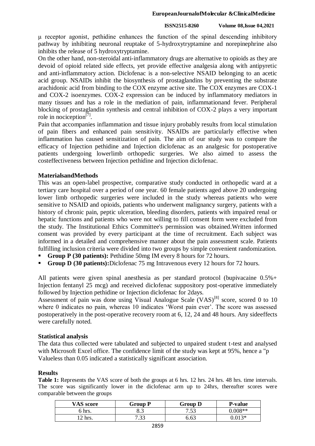#### **EuropeanJournalofMolecular &ClinicalMedicine**

#### **ISSN2515-8260 Volume 08,Issue 04,2021**

μ receptor agonist, pethidine enhances the function of the spinal descending inhibitory pathway by inhibiting neuronal reuptake of 5-hydroxytryptamine and norepinephrine also inhibits the release of 5 hydroxytryptamine.

On the other hand, non-steroidal anti-inflammatory drugs are alternative to opioids as they are devoid of opioid related side effects, yet provide effective analgesia along with antipyretic and anti-inflammatory action. Diclofenac is a non-selective NSAID belonging to an acetic acid group. NSAIDs inhibit the biosynthesis of prostaglandins by preventing the substrate arachidonic acid from binding to the COX enzyme active site. The COX enzymes are COX-1 and COX-2 isoenzymes. COX-2 expression can be induced by inflammatory mediators in many tissues and has a role in the mediation of pain, inflammationand fever. Peripheral blocking of prostaglandin synthesis and central inhibition of COX-2 plays a very important role in nociception<sup>[7]</sup>.

Pain that accompanies inflammation and tissue injury probably results from local stimulation of pain fibers and enhanced pain sensitivity. NSAIDs are particularly effective when inflammation has caused sensitization of pain. The aim of our study was to compare the efficacy of Injection pethidine and Injection diclofenac as an analgesic for postoperative patients undergoing lowerlimb orthopedic surgeries. We also aimed to assess the costeffectiveness between Injection pethidine and Injection diclofenac.

# **MaterialsandMethods**

This was an open-label prospective, comparative study conducted in orthopedic ward at a tertiary care hospital over a period of one year. 60 female patients aged above 20 undergoing lower limb orthopedic surgeries were included in the study whereas patients who were sensitive to NSAID and opioids, patients who underwent malignancy surgery, patients with a history of chronic pain, peptic ulceration, bleeding disorders, patients with impaired renal or hepatic functions and patients who were not willing to fill consent form were excluded from the study. The Institutional Ethics Committee's permission was obtained.Written informed consent was provided by every participant at the time of recruitment. Each subject was informed in a detailed and comprehensive manner about the pain assessment scale. Patients fulfilling inclusion criteria were divided into two groups by simple convenient randomization.

- **Group P (30 patients):** Pethidine 50mg IM every 8 hours for 72 hours.
- **Group D (30 patients):**Diclofenac 75 mg Intravenous every 12 hours for 72 hours.

All patients were given spinal anesthesia as per standard protocol (bupivacaine 0.5%+ Injection fentanyl 25 mcg) and received diclofenac suppository post-operative immediately followed by Injection pethidine or Injection diclofenac for 2days.

Assessment of pain was done using Visual Analogue Scale  $(VAS)^{[8]}$  score, scored 0 to 10 where 0 indicates no pain, whereas 10 indicates 'Worst pain ever'. The score was assessed postoperatively in the post-operative recovery room at 6, 12, 24 and 48 hours. Any sideeffects were carefully noted.

#### **Statistical analysis**

The data thus collected were tabulated and subjected to unpaired student t-test and analysed with Microsoft Excel office. The confidence limit of the study was kept at 95%, hence a "p Valueless than 0.05 indicated a statistically significant association.

#### **Results**

**Table 1:** Represents the VAS score of both the groups at 6 hrs. 12 hrs. 24 hrs. 48 hrs. time intervals. The score was significantly lower in the diclofenac arm up to 24hrs, thereafter scores were comparable between the groups

| VAS score     | Group P      | Group D      | <b>P-value</b> |
|---------------|--------------|--------------|----------------|
| hrs.          | o.o          | 752<br>ر ر., | $0.008**$      |
| $\gamma$ hrs. | ר ר<br>ر ر., | 6.63         | በ በ13*         |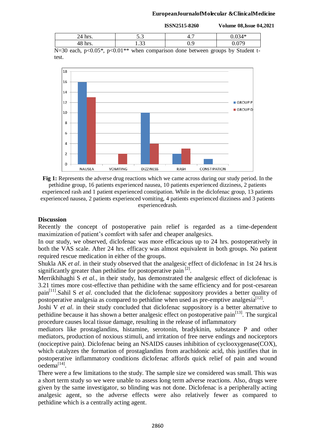#### **EuropeanJournalofMolecular &ClinicalMedicine**

**ISSN2515-8260 Volume 08,Issue 04,2021**

|                                                                                                  | ຸນ . ມ |  |  |  |
|--------------------------------------------------------------------------------------------------|--------|--|--|--|
|                                                                                                  | .      |  |  |  |
| $\sim$ 1-20 each $n \le 0.05$ * $n \le 0.01$ ** when comparison done between groups by Student t |        |  |  |  |

 $N=30$  each,  $p<0.05^*$ ,  $p<0.01^{**}$  when comparison done between groups by Student ttest.



**Fig 1:** Represents the adverse drug reactions which we came across during our study period. In the pethidine group, 16 patients experienced nausea, 10 patients experienced dizziness, 2 patients

experienced rash and 1 patient experienced constipation. While in the diclofenac group, 13 patients experienced nausea, 2 patients experienced vomiting, 4 patients experienced dizziness and 3 patients experiencedrash.

### **Discussion**

Recently the concept of postoperative pain relief is regarded as a time-dependent maximization of patient's comfort with safer and cheaper analgesics.

In our study, we observed, diclofenac was more efficacious up to 24 hrs. postoperatively in both the VAS scale. After 24 hrs. efficacy was almost equivalent in both groups. No patient required rescue medication in either of the groups.

Shukla AK *et al*. in their study observed that the analgesic effect of diclofenac in 1st 24 hrs.is significantly greater than pethidine for postoperative pain  $[2]$ .

Merrikhihaghi S *et al.*, in their study, has demonstrated the analgesic effect of diclofenac is 3.21 times more cost-effective than pethidine with the same efficiency and for post-cesarean pain[11].Sahil S *et al*. concluded that the diclofenac suppository provides a better quality of postoperative analgesia as compared to pethidine when used as pre-emptive analgesia $^{[12]}$ .

Joshi V *et al*. in their study concluded that diclofenac suppository is a better alternative to pethidine because it has shown a better analgesic effect on postoperative pain<sup>[13]</sup>. The surgical procedure causes local tissue damage, resulting in the release of inflammatory

mediators like prostaglandins, histamine, serotonin, bradykinin, substance P and other mediators, production of noxious stimuli, and irritation of free nerve endings and nociceptors (nociceptive pain). Diclofenac being an NSAIDS causes inhibition of cyclooxygenase(COX), which catalyzes the formation of prostaglandins from arachidonic acid, this justifies that in postoperative inflammatory conditions diclofenac affords quick relief of pain and wound  $\mathrm{o}$ edema $^{[14]}$ .

There were a few limitations to the study. The sample size we considered was small. This was a short term study so we were unable to assess long term adverse reactions. Also, drugs were given by the same investigator, so blinding was not done. Diclofenac is a peripherally acting analgesic agent, so the adverse effects were also relatively fewer as compared to pethidine which is a centrally acting agent.